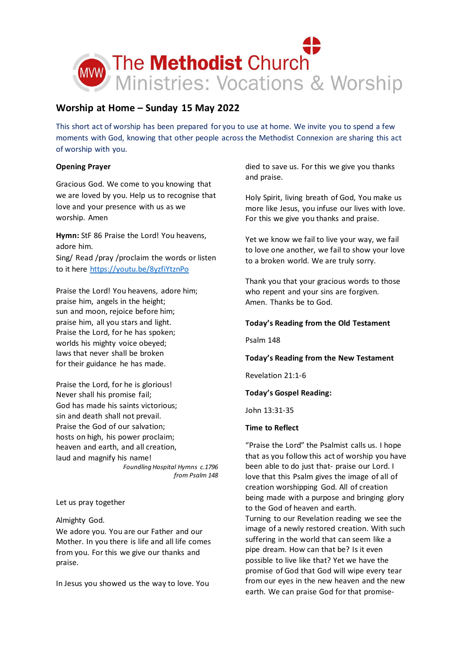

# **Worship at Home – Sunday 15 May 2022**

This short act of worship has been prepared for you to use at home. We invite you to spend a few moments with God, knowing that other people across the Methodist Connexion are sharing this act of worship with you.

## **Opening Prayer**

Gracious God. We come to you knowing that we are loved by you. Help us to recognise that love and your presence with us as we worship. Amen

**Hymn:** StF 86 Praise the Lord! You heavens, adore him.

Sing/ Read /pray /proclaim the words or listen to it here <https://youtu.be/8yzfiYtznPo>

Praise the Lord! You heavens, adore him; praise him, angels in the height; sun and moon, rejoice before him; praise him, all you stars and light. Praise the Lord, for he has spoken; worlds his mighty voice obeyed; laws that never shall be broken for their guidance he has made.

Praise the Lord, for he is glorious! Never shall his promise fail; God has made his saints victorious; sin and death shall not prevail. Praise the God of our salvation; hosts on high, his power proclaim; heaven and earth, and all creation, laud and magnify his name! *Foundling Hospital Hymns c.1796 from Psalm 148*

Let us pray together

Almighty God.

We adore you. You are our Father and our Mother. In you there is life and all life comes from you. For this we give our thanks and praise.

In Jesus you showed us the way to love. You

died to save us. For this we give you thanks and praise.

Holy Spirit, living breath of God, You make us more like Jesus, you infuse our lives with love. For this we give you thanks and praise.

Yet we know we fail to live your way, we fail to love one another, we fail to show your love to a broken world. We are truly sorry.

Thank you that your gracious words to those who repent and your sins are forgiven. Amen. Thanks be to God.

## **Today's Reading from the Old Testament**

Psalm 148

## **Today's Reading from the New Testament**

Revelation 21:1-6

## **Today's Gospel Reading:**

John 13:31-35

## **Time to Reflect**

"Praise the Lord" the Psalmist calls us. I hope that as you follow this act of worship you have been able to do just that- praise our Lord. I love that this Psalm gives the image of all of creation worshipping God. All of creation being made with a purpose and bringing glory to the God of heaven and earth. Turning to our Revelation reading we see the image of a newly restored creation. With such suffering in the world that can seem like a pipe dream. How can that be? Is it even possible to live like that? Yet we have the promise of God that God will wipe every tear from our eyes in the new heaven and the new earth. We can praise God for that promise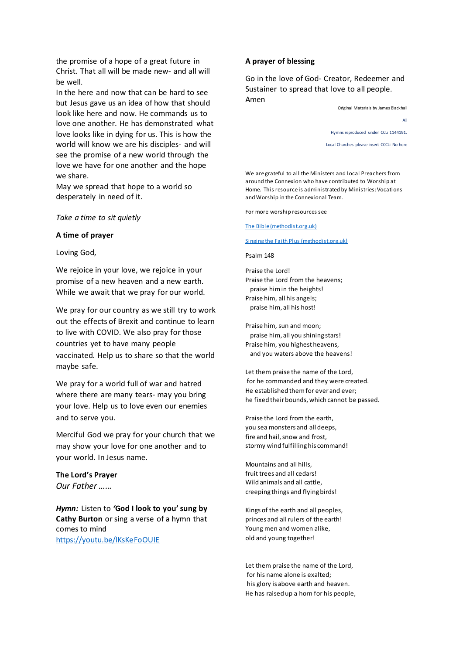the promise of a hope of a great future in Christ. That all will be made new- and all will be well.

In the here and now that can be hard to see but Jesus gave us an idea of how that should look like here and now. He commands us to love one another. He has demonstrated what love looks like in dying for us. This is how the world will know we are his disciples- and will see the promise of a new world through the love we have for one another and the hope we share.

May we spread that hope to a world so desperately in need of it.

*Take a time to sit quietly*

#### **A time of prayer**

Loving God,

We rejoice in your love, we rejoice in your promise of a new heaven and a new earth. While we await that we pray for our world.

We pray for our country as we still try to work out the effects of Brexit and continue to learn to live with COVID. We also pray for those countries yet to have many people vaccinated. Help us to share so that the world maybe safe.

We pray for a world full of war and hatred where there are many tears- may you bring your love. Help us to love even our enemies and to serve you.

Merciful God we pray for your church that we may show your love for one another and to your world. In Jesus name.

### **The Lord's Prayer**

*Our Father ……*

*Hymn:* Listen to *'***God I look to you' sung by Cathy Burton** or sing a verse of a hymn that comes to mind <https://youtu.be/lKsKeFoOUlE>

#### **A prayer of blessing**

Go in the love of God- Creator, Redeemer and Sustainer to spread that love to all people. Amen

> Original Materials by James Blackhall All Hymns reproduced under CCLi 1144191. Local Churches please insert CCCLi No here

We are grateful to all the Ministers and Local Preachers from around the Connexion who have contributed to Worship at Home. This resource is administrated by Ministries: Vocations and Worship in the Connexional Team.

For more worship resources see

[The Bible \(methodist.org.uk\)](https://www.methodist.org.uk/our-faith/the-bible/)

#### [Singing the Faith Plus \(methodist.org.uk\)](https://www.methodist.org.uk/our-faith/worship/singing-the-faith-plus/)

Psalm 148

Praise the Lord! Praise the Lord from the heavens; praise him in the heights! Praise him, all his angels; praise him, all his host!

Praise him, sun and moon; praise him, all you shining stars! Praise him, you highest heavens, and you waters above the heavens!

Let them praise the name of the Lord, for he commanded and they were created. He established them for ever and ever; he fixed their bounds, which cannot be passed.

Praise the Lord from the earth, you sea monsters and all deeps, fire and hail, snow and frost, stormy wind fulfilling his command!

Mountains and all hills, fruit trees and all cedars! Wild animals and all cattle, creeping things and flying birds!

Kings of the earth and all peoples, princes and all rulers of the earth! Young men and women alike, old and young together!

Let them praise the name of the Lord, for his name alone is exalted; his glory is above earth and heaven. He has raised up a horn for his people,